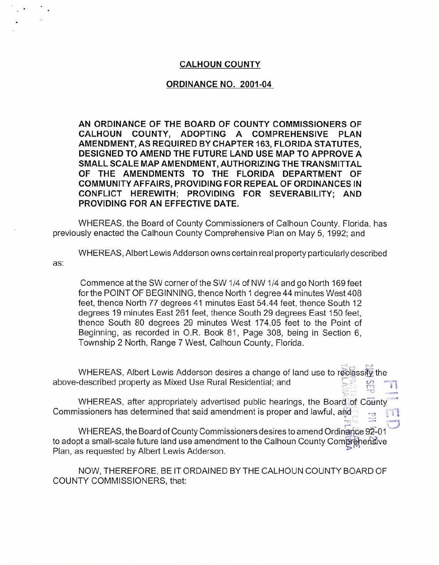## **CALHOUN COUNTY**

## **ORDINANCE NO. 2001-04**

**AN ORDINANCE OF THE BOARD OF COUNTY COMMISSIONERS OF CALHOUN COUNTY, ADOPTING A COMPREHENSIVE PLAN AMENDMENT, AS REQUIRED BY CHAPTER 163, FLORIDA STATUTES, DESIGNED TO AMEND THE FUTURE LAND USE MAP TO APPROVE A SMALL SCALE MAP AMENDMENT, AUTHORIZING THE TRANSMITTAL OF THE AMENDMENTS TO THE FLORIDA DEPARTMENT OF COMMUNITY AFFAIRS, PROVIDING FOR REPEAL OF ORDINANCES IN CONFLICT HEREWITH; PROVIDING FOR SEVERABILITY; AND PROVIDING FOR AN EFFECTIVE DATE.** 

WHEREAS, the Board of County Commissioners of Calhoun County, Florida, has previously enacted the Calhoun County Comprehensive Plan on May 5, 1992; and

as: WHEREAS, Albert Lewis Adderson owns certain real property particularly described

Commence at the SW corner of the SW 1/4 of NW 1/4 and go North 169 feet for the POINT OF BEGINNING, thence North 1 degree 44 minutes West 408 feet, thence North 77 degrees 41 minutes East 54.44 feet, thence South 12 degrees 19 minutes East 261 feet, thence South 29 degrees East 150 feet, thence South 80 degrees 29 minutes West 174.05 feet to the Point of Beginning, as recorded in O.R. Book 81, Page 308, being in Section 6, Township 2 North, Range 7 West, Calhoun County, Florida.

 $\frac{1}{2}$  . WHEREAS, Albert Lewis Adderson desires a change of land use to reclassify the above-described property as Mixed Use Rural Residential; and

-a - WHEREAS, after appropriately advertised public hearings, the Board of County Commissioners has determined that said amendment is proper and lawful, and

WHEREAS, the Board of County Commissioners desires to amend Ordinance 92-01 to adopt a small-scale future land use amendment to the Calhoun County Comprehensive Plan, as requested by Albert Lewis Adderson.

NOW, THEREFORE, BE IT ORDAINED BY THE CALHOUN COUNTY BOARD OF COUNTY COMMISSIONERS, that: